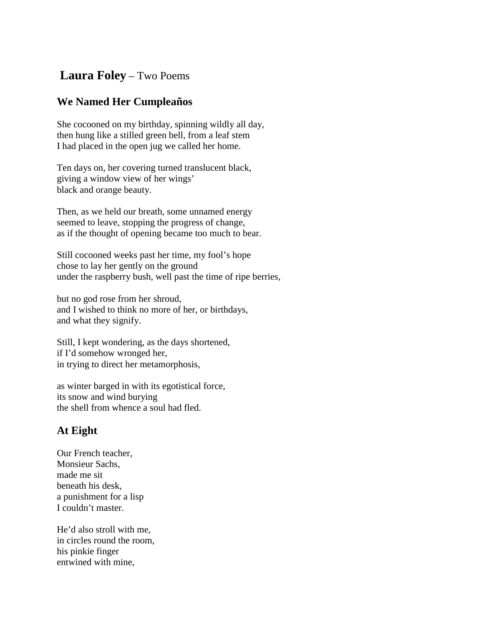## **Laura Foley** – Two Poems

## **We Named Her Cumpleaños**

She cocooned on my birthday, spinning wildly all day, then hung like a stilled green bell, from a leaf stem I had placed in the open jug we called her home.

Ten days on, her covering turned translucent black, giving a window view of her wings' black and orange beauty.

Then, as we held our breath, some unnamed energy seemed to leave, stopping the progress of change, as if the thought of opening became too much to bear.

Still cocooned weeks past her time, my fool's hope chose to lay her gently on the ground under the raspberry bush, well past the time of ripe berries,

but no god rose from her shroud, and I wished to think no more of her, or birthdays, and what they signify.

Still, I kept wondering, as the days shortened, if I'd somehow wronged her, in trying to direct her metamorphosis,

as winter barged in with its egotistical force, its snow and wind burying the shell from whence a soul had fled.

## **At Eight**

Our French teacher, Monsieur Sachs, made me sit beneath his desk, a punishment for a lisp I couldn't master.

He'd also stroll with me, in circles round the room, his pinkie finger entwined with mine,